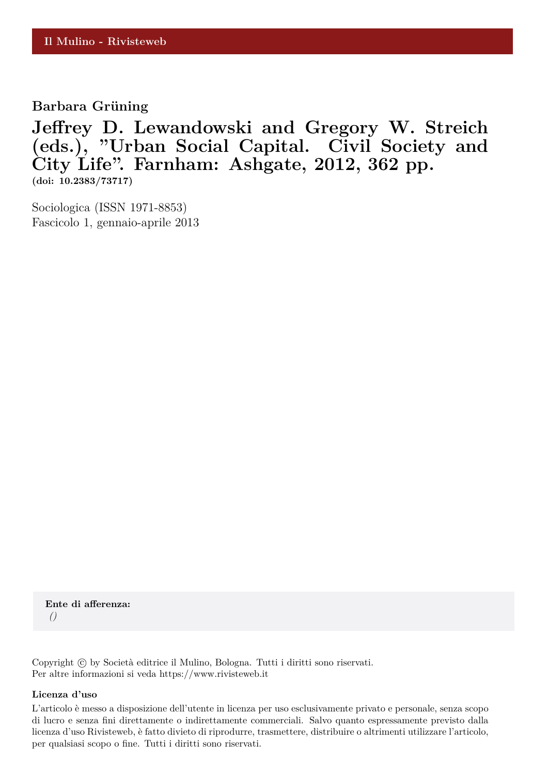**Barbara Grüning** 

**Jeffrey D. Lewandowski and Gregory W. Streich (eds.), "Urban Social Capital. Civil Society and City Life". Farnham: Ashgate, 2012, 362 pp. (doi: 10.2383/73717)**

Sociologica (ISSN 1971-8853) Fascicolo 1, gennaio-aprile 2013

**Ente di afferenza:** *()*

Copyright © by Società editrice il Mulino, Bologna. Tutti i diritti sono riservati. Per altre informazioni si veda https://www.rivisteweb.it

#### **Licenza d'uso**

L'articolo è messo a disposizione dell'utente in licenza per uso esclusivamente privato e personale, senza scopo di lucro e senza fini direttamente o indirettamente commerciali. Salvo quanto espressamente previsto dalla licenza d'uso Rivisteweb, è fatto divieto di riprodurre, trasmettere, distribuire o altrimenti utilizzare l'articolo, per qualsiasi scopo o fine. Tutti i diritti sono riservati.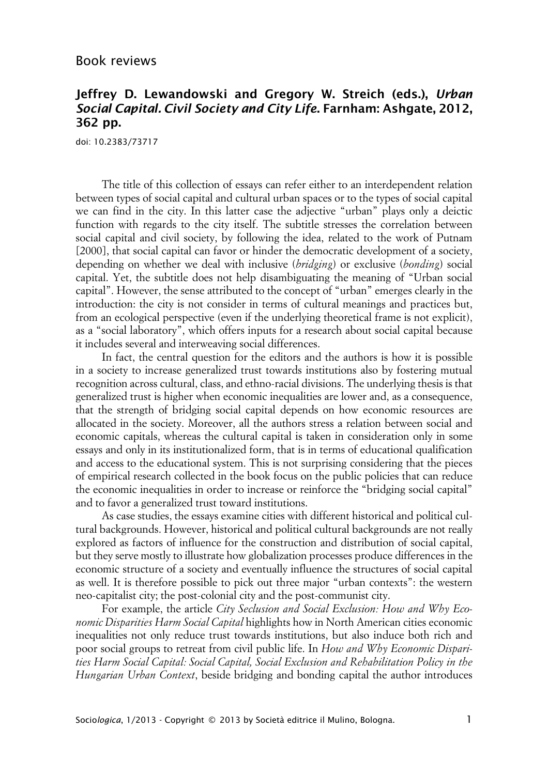### Book reviews

## **Jeffrey D. Lewandowski and Gregory W. Streich (eds.), Urban Social Capital. Civil Society and City Life. Farnham: Ashgate, 2012, 362 pp.**

doi: 10.2383/73717

The title of this collection of essays can refer either to an interdependent relation between types of social capital and cultural urban spaces or to the types of social capital we can find in the city. In this latter case the adjective "urban" plays only a deictic function with regards to the city itself. The subtitle stresses the correlation between social capital and civil society, by following the idea, related to the work of Putnam [2000], that social capital can favor or hinder the democratic development of a society, depending on whether we deal with inclusive (*bridging*) or exclusive (*bonding*) social capital. Yet, the subtitle does not help disambiguating the meaning of "Urban social capital". However, the sense attributed to the concept of "urban" emerges clearly in the introduction: the city is not consider in terms of cultural meanings and practices but, from an ecological perspective (even if the underlying theoretical frame is not explicit), as a "social laboratory", which offers inputs for a research about social capital because it includes several and interweaving social differences.

In fact, the central question for the editors and the authors is how it is possible in a society to increase generalized trust towards institutions also by fostering mutual recognition across cultural, class, and ethno-racial divisions. The underlying thesis is that generalized trust is higher when economic inequalities are lower and, as a consequence, that the strength of bridging social capital depends on how economic resources are allocated in the society. Moreover, all the authors stress a relation between social and economic capitals, whereas the cultural capital is taken in consideration only in some essays and only in its institutionalized form, that is in terms of educational qualification and access to the educational system. This is not surprising considering that the pieces of empirical research collected in the book focus on the public policies that can reduce the economic inequalities in order to increase or reinforce the "bridging social capital" and to favor a generalized trust toward institutions.

As case studies, the essays examine cities with different historical and political cultural backgrounds. However, historical and political cultural backgrounds are not really explored as factors of influence for the construction and distribution of social capital, but they serve mostly to illustrate how globalization processes produce differences in the economic structure of a society and eventually influence the structures of social capital as well. It is therefore possible to pick out three major "urban contexts": the western neo-capitalist city; the post-colonial city and the post-communist city.

For example, the article *City Seclusion and Social Exclusion: How and Why Economic Disparities Harm Social Capital* highlights how in North American cities economic inequalities not only reduce trust towards institutions, but also induce both rich and poor social groups to retreat from civil public life. In *How and Why Economic Disparities Harm Social Capital: Social Capital, Social Exclusion and Rehabilitation Policy in the Hungarian Urban Context*, beside bridging and bonding capital the author introduces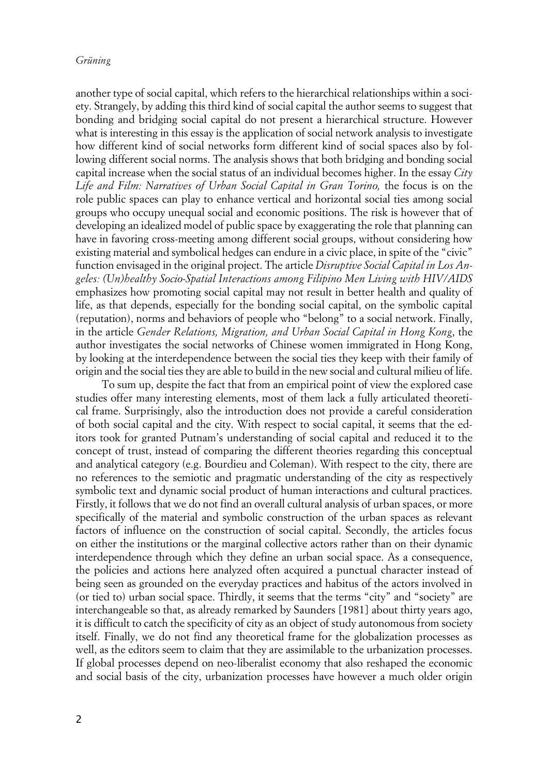#### *Grüning*

another type of social capital, which refers to the hierarchical relationships within a society. Strangely, by adding this third kind of social capital the author seems to suggest that bonding and bridging social capital do not present a hierarchical structure. However what is interesting in this essay is the application of social network analysis to investigate how different kind of social networks form different kind of social spaces also by following different social norms. The analysis shows that both bridging and bonding social capital increase when the social status of an individual becomes higher. In the essay *City* Life and Film: Narratives of Urban Social Capital in Gran Torino, the focus is on the role public spaces can play to enhance vertical and horizontal social ties among social groups who occupy unequal social and economic positions. The risk is however that of developing an idealized model of public space by exaggerating the role that planning can have in favoring cross-meeting among different social groups, without considering how existing material and symbolical hedges can endure in a civic place, in spite of the "civic" function envisaged in the original project. The article *Disruptive Social Capital in Los Angeles: (Un)healthy Socio-Spatial Interactions among Filipino Men Living with HIV/AIDS* emphasizes how promoting social capital may not result in better health and quality of life, as that depends, especially for the bonding social capital, on the symbolic capital (reputation), norms and behaviors of people who "belong" to a social network. Finally, in the article *Gender Relations, Migration, and Urban Social Capital in Hong Kong*, the author investigates the social networks of Chinese women immigrated in Hong Kong, by looking at the interdependence between the social ties they keep with their family of origin and the social ties they are able to build in the new social and cultural milieu of life.

To sum up, despite the fact that from an empirical point of view the explored case studies offer many interesting elements, most of them lack a fully articulated theoretical frame. Surprisingly, also the introduction does not provide a careful consideration of both social capital and the city. With respect to social capital, it seems that the editors took for granted Putnam's understanding of social capital and reduced it to the concept of trust, instead of comparing the different theories regarding this conceptual and analytical category (e.g. Bourdieu and Coleman). With respect to the city, there are no references to the semiotic and pragmatic understanding of the city as respectively symbolic text and dynamic social product of human interactions and cultural practices. Firstly, it follows that we do not find an overall cultural analysis of urban spaces, or more specifically of the material and symbolic construction of the urban spaces as relevant factors of influence on the construction of social capital. Secondly, the articles focus on either the institutions or the marginal collective actors rather than on their dynamic interdependence through which they define an urban social space. As a consequence, the policies and actions here analyzed often acquired a punctual character instead of being seen as grounded on the everyday practices and habitus of the actors involved in (or tied to) urban social space. Thirdly, it seems that the terms "city" and "society" are interchangeable so that, as already remarked by Saunders [1981] about thirty years ago, it is difficult to catch the specificity of city as an object of study autonomous from society itself. Finally, we do not find any theoretical frame for the globalization processes as well, as the editors seem to claim that they are assimilable to the urbanization processes. If global processes depend on neo-liberalist economy that also reshaped the economic and social basis of the city, urbanization processes have however a much older origin